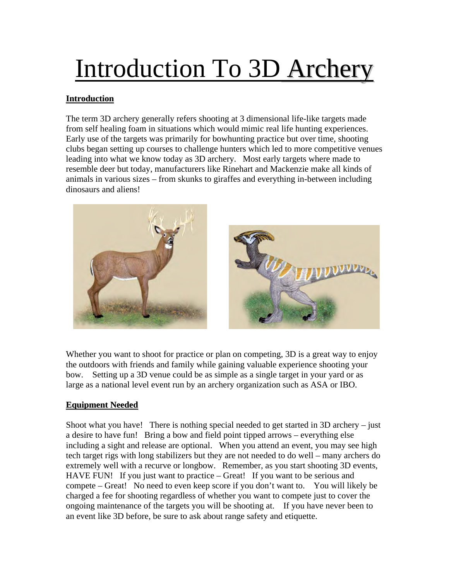# Introduction To 3D Archery

# **Introduction**

The term 3D archery generally refers shooting at 3 dimensional life-like targets made from self healing foam in situations which would mimic real life hunting experiences. Early use of the targets was primarily for bowhunting practice but over time, shooting clubs began setting up courses to challenge hunters which led to more competitive venues leading into what we know today as 3D archery. Most early targets where made to resemble deer but today, manufacturers like Rinehart and Mackenzie make all kinds of animals in various sizes – from skunks to giraffes and everything in-between including dinosaurs and aliens!



Whether you want to shoot for practice or plan on competing, 3D is a great way to enjoy the outdoors with friends and family while gaining valuable experience shooting your bow. Setting up a 3D venue could be as simple as a single target in your yard or as large as a national level event run by an archery organization such as ASA or IBO.

## **Equipment Needed**

Shoot what you have! There is nothing special needed to get started in 3D archery – just a desire to have fun! Bring a bow and field point tipped arrows – everything else including a sight and release are optional. When you attend an event, you may see high tech target rigs with long stabilizers but they are not needed to do well – many archers do extremely well with a recurve or longbow. Remember, as you start shooting 3D events, HAVE FUN! If you just want to practice – Great! If you want to be serious and compete – Great! No need to even keep score if you don't want to. You will likely be charged a fee for shooting regardless of whether you want to compete just to cover the ongoing maintenance of the targets you will be shooting at. If you have never been to an event like 3D before, be sure to ask about range safety and etiquette.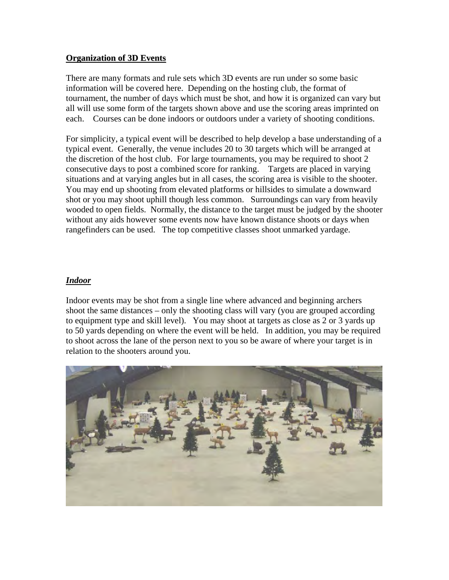### **Organization of 3D Events**

There are many formats and rule sets which 3D events are run under so some basic information will be covered here. Depending on the hosting club, the format of tournament, the number of days which must be shot, and how it is organized can vary but all will use some form of the targets shown above and use the scoring areas imprinted on each. Courses can be done indoors or outdoors under a variety of shooting conditions.

For simplicity, a typical event will be described to help develop a base understanding of a typical event. Generally, the venue includes 20 to 30 targets which will be arranged at the discretion of the host club. For large tournaments, you may be required to shoot 2 consecutive days to post a combined score for ranking. Targets are placed in varying situations and at varying angles but in all cases, the scoring area is visible to the shooter. You may end up shooting from elevated platforms or hillsides to simulate a downward shot or you may shoot uphill though less common. Surroundings can vary from heavily wooded to open fields. Normally, the distance to the target must be judged by the shooter without any aids however some events now have known distance shoots or days when rangefinders can be used. The top competitive classes shoot unmarked yardage.

## *Indoor*

Indoor events may be shot from a single line where advanced and beginning archers shoot the same distances – only the shooting class will vary (you are grouped according to equipment type and skill level). You may shoot at targets as close as 2 or 3 yards up to 50 yards depending on where the event will be held. In addition, you may be required to shoot across the lane of the person next to you so be aware of where your target is in relation to the shooters around you.

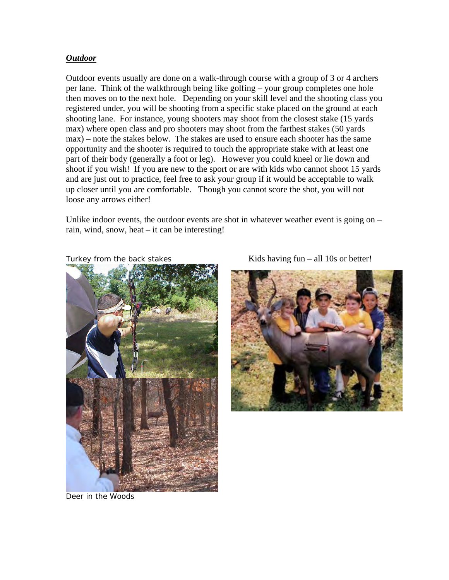#### *Outdoor*

Outdoor events usually are done on a walk-through course with a group of 3 or 4 archers per lane. Think of the walkthrough being like golfing – your group completes one hole then moves on to the next hole. Depending on your skill level and the shooting class you registered under, you will be shooting from a specific stake placed on the ground at each shooting lane. For instance, young shooters may shoot from the closest stake (15 yards max) where open class and pro shooters may shoot from the farthest stakes (50 yards max) – note the stakes below. The stakes are used to ensure each shooter has the same opportunity and the shooter is required to touch the appropriate stake with at least one part of their body (generally a foot or leg). However you could kneel or lie down and shoot if you wish! If you are new to the sport or are with kids who cannot shoot 15 yards and are just out to practice, feel free to ask your group if it would be acceptable to walk up closer until you are comfortable. Though you cannot score the shot, you will not loose any arrows either!

Unlike indoor events, the outdoor events are shot in whatever weather event is going on – rain, wind, snow, heat – it can be interesting!





Turkey from the back stakes  $Kids$  having fun – all 10s or better!

Deer in the Woods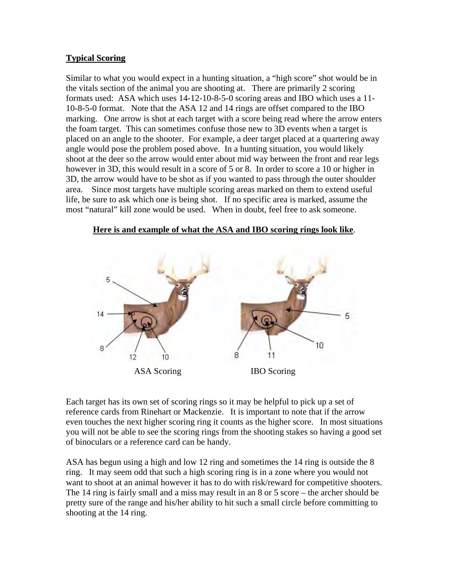## **Typical Scoring**

Similar to what you would expect in a hunting situation, a "high score" shot would be in the vitals section of the animal you are shooting at. There are primarily 2 scoring formats used: ASA which uses 14-12-10-8-5-0 scoring areas and IBO which uses a 11- 10-8-5-0 format. Note that the ASA 12 and 14 rings are offset compared to the IBO marking. One arrow is shot at each target with a score being read where the arrow enters the foam target. This can sometimes confuse those new to 3D events when a target is placed on an angle to the shooter. For example, a deer target placed at a quartering away angle would pose the problem posed above. In a hunting situation, you would likely shoot at the deer so the arrow would enter about mid way between the front and rear legs however in 3D, this would result in a score of 5 or 8. In order to score a 10 or higher in 3D, the arrow would have to be shot as if you wanted to pass through the outer shoulder area. Since most targets have multiple scoring areas marked on them to extend useful life, be sure to ask which one is being shot. If no specific area is marked, assume the most "natural" kill zone would be used. When in doubt, feel free to ask someone.

#### **Here is and example of what the ASA and IBO scoring rings look like**.



Each target has its own set of scoring rings so it may be helpful to pick up a set of reference cards from Rinehart or Mackenzie. It is important to note that if the arrow even touches the next higher scoring ring it counts as the higher score. In most situations you will not be able to see the scoring rings from the shooting stakes so having a good set of binoculars or a reference card can be handy.

ASA has begun using a high and low 12 ring and sometimes the 14 ring is outside the 8 ring. It may seem odd that such a high scoring ring is in a zone where you would not want to shoot at an animal however it has to do with risk/reward for competitive shooters. The 14 ring is fairly small and a miss may result in an 8 or 5 score – the archer should be pretty sure of the range and his/her ability to hit such a small circle before committing to shooting at the 14 ring.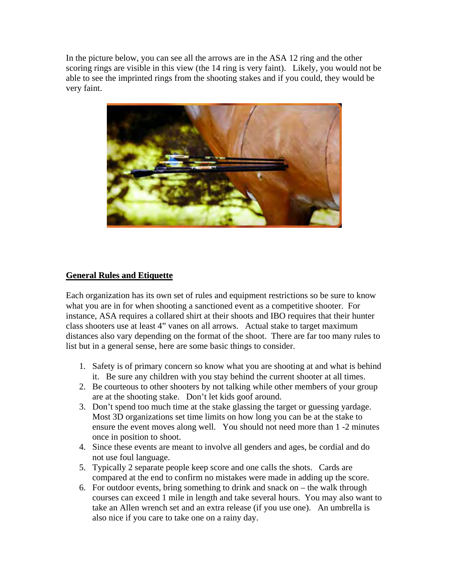In the picture below, you can see all the arrows are in the ASA 12 ring and the other scoring rings are visible in this view (the 14 ring is very faint). Likely, you would not be able to see the imprinted rings from the shooting stakes and if you could, they would be very faint.



## **General Rules and Etiquette**

Each organization has its own set of rules and equipment restrictions so be sure to know what you are in for when shooting a sanctioned event as a competitive shooter. For instance, ASA requires a collared shirt at their shoots and IBO requires that their hunter class shooters use at least 4" vanes on all arrows. Actual stake to target maximum distances also vary depending on the format of the shoot. There are far too many rules to list but in a general sense, here are some basic things to consider.

- 1. Safety is of primary concern so know what you are shooting at and what is behind it. Be sure any children with you stay behind the current shooter at all times.
- 2. Be courteous to other shooters by not talking while other members of your group are at the shooting stake. Don't let kids goof around.
- 3. Don't spend too much time at the stake glassing the target or guessing yardage. Most 3D organizations set time limits on how long you can be at the stake to ensure the event moves along well. You should not need more than 1 -2 minutes once in position to shoot.
- 4. Since these events are meant to involve all genders and ages, be cordial and do not use foul language.
- 5. Typically 2 separate people keep score and one calls the shots. Cards are compared at the end to confirm no mistakes were made in adding up the score.
- 6. For outdoor events, bring something to drink and snack on the walk through courses can exceed 1 mile in length and take several hours. You may also want to take an Allen wrench set and an extra release (if you use one). An umbrella is also nice if you care to take one on a rainy day.